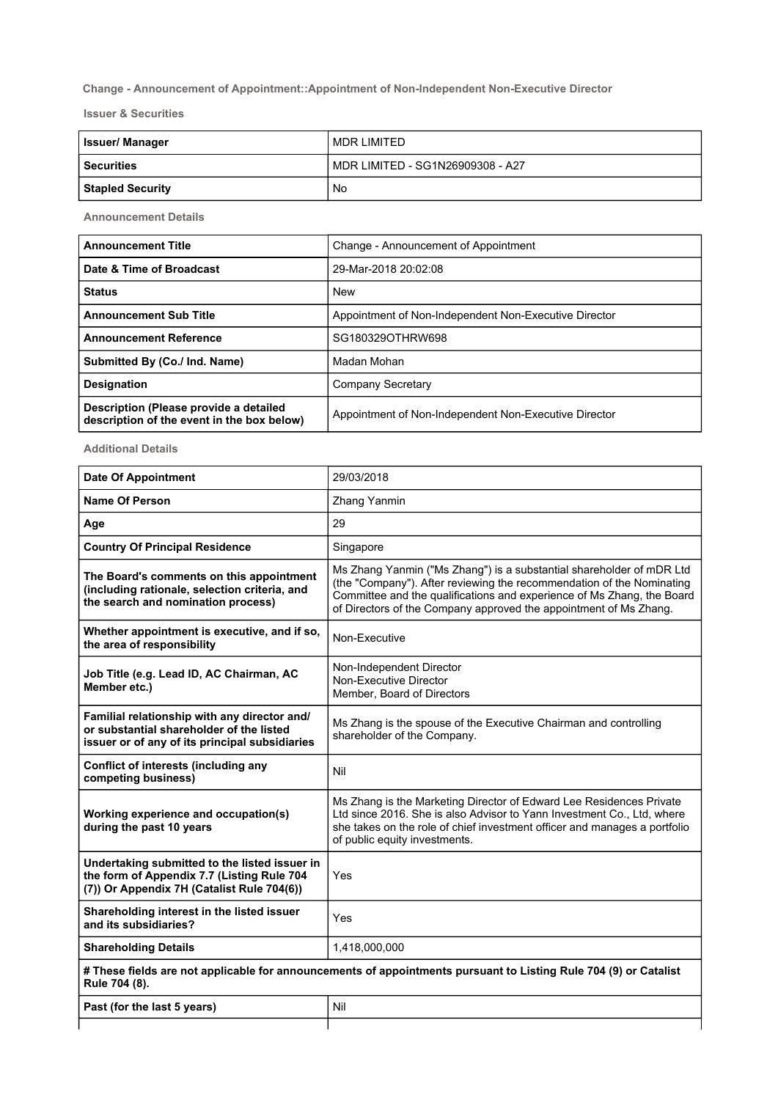## Change - Announcement of Appointment::Appointment of Non-Independent Non-Executive Director

Issuer & Securities

| <b>Issuer/Manager</b>   | I MDR LIMITED                    |
|-------------------------|----------------------------------|
| <b>Securities</b>       | MDR LIMITED - SG1N26909308 - A27 |
| <b>Stapled Security</b> | No                               |

Announcement Details

| <b>Announcement Title</b>                                                            | Change - Announcement of Appointment                  |
|--------------------------------------------------------------------------------------|-------------------------------------------------------|
| Date & Time of Broadcast                                                             | 29-Mar-2018 20:02:08                                  |
| <b>Status</b>                                                                        | <b>New</b>                                            |
| <b>Announcement Sub Title</b>                                                        | Appointment of Non-Independent Non-Executive Director |
| <b>Announcement Reference</b>                                                        | SG180329OTHRW698                                      |
| Submitted By (Co./ Ind. Name)                                                        | Madan Mohan                                           |
| <b>Designation</b>                                                                   | Company Secretary                                     |
| Description (Please provide a detailed<br>description of the event in the box below) | Appointment of Non-Independent Non-Executive Director |

Additional Details

| <b>Date Of Appointment</b>                                                                                                                 | 29/03/2018                                                                                                                                                                                                                                                                                   |
|--------------------------------------------------------------------------------------------------------------------------------------------|----------------------------------------------------------------------------------------------------------------------------------------------------------------------------------------------------------------------------------------------------------------------------------------------|
| <b>Name Of Person</b>                                                                                                                      | Zhang Yanmin                                                                                                                                                                                                                                                                                 |
| Age                                                                                                                                        | 29                                                                                                                                                                                                                                                                                           |
| <b>Country Of Principal Residence</b>                                                                                                      | Singapore                                                                                                                                                                                                                                                                                    |
| The Board's comments on this appointment<br>(including rationale, selection criteria, and<br>the search and nomination process)            | Ms Zhang Yanmin ("Ms Zhang") is a substantial shareholder of mDR Ltd<br>(the "Company"). After reviewing the recommendation of the Nominating<br>Committee and the qualifications and experience of Ms Zhang, the Board<br>of Directors of the Company approved the appointment of Ms Zhang. |
| Whether appointment is executive, and if so,<br>the area of responsibility                                                                 | Non-Executive                                                                                                                                                                                                                                                                                |
| Job Title (e.g. Lead ID, AC Chairman, AC<br>Member etc.)                                                                                   | Non-Independent Director<br>Non-Executive Director<br>Member, Board of Directors                                                                                                                                                                                                             |
| Familial relationship with any director and/<br>or substantial shareholder of the listed<br>issuer or of any of its principal subsidiaries | Ms Zhang is the spouse of the Executive Chairman and controlling<br>shareholder of the Company.                                                                                                                                                                                              |
| <b>Conflict of interests (including any</b><br>competing business)                                                                         | Nil                                                                                                                                                                                                                                                                                          |
| Working experience and occupation(s)<br>during the past 10 years                                                                           | Ms Zhang is the Marketing Director of Edward Lee Residences Private<br>Ltd since 2016. She is also Advisor to Yann Investment Co., Ltd, where<br>she takes on the role of chief investment officer and manages a portfolio<br>of public equity investments.                                  |
| Undertaking submitted to the listed issuer in<br>the form of Appendix 7.7 (Listing Rule 704<br>(7)) Or Appendix 7H (Catalist Rule 704(6))  | Yes                                                                                                                                                                                                                                                                                          |
| Shareholding interest in the listed issuer<br>and its subsidiaries?                                                                        | Yes                                                                                                                                                                                                                                                                                          |
| <b>Shareholding Details</b>                                                                                                                | 1,418,000,000                                                                                                                                                                                                                                                                                |
| # These fields are not applicable for announcements of appointments pursuant to Listing Rule 704 (9) or Catalist<br>Rule 704 (8).          |                                                                                                                                                                                                                                                                                              |
| Past (for the last 5 years)                                                                                                                | Nil                                                                                                                                                                                                                                                                                          |

ast (for the last 5 years)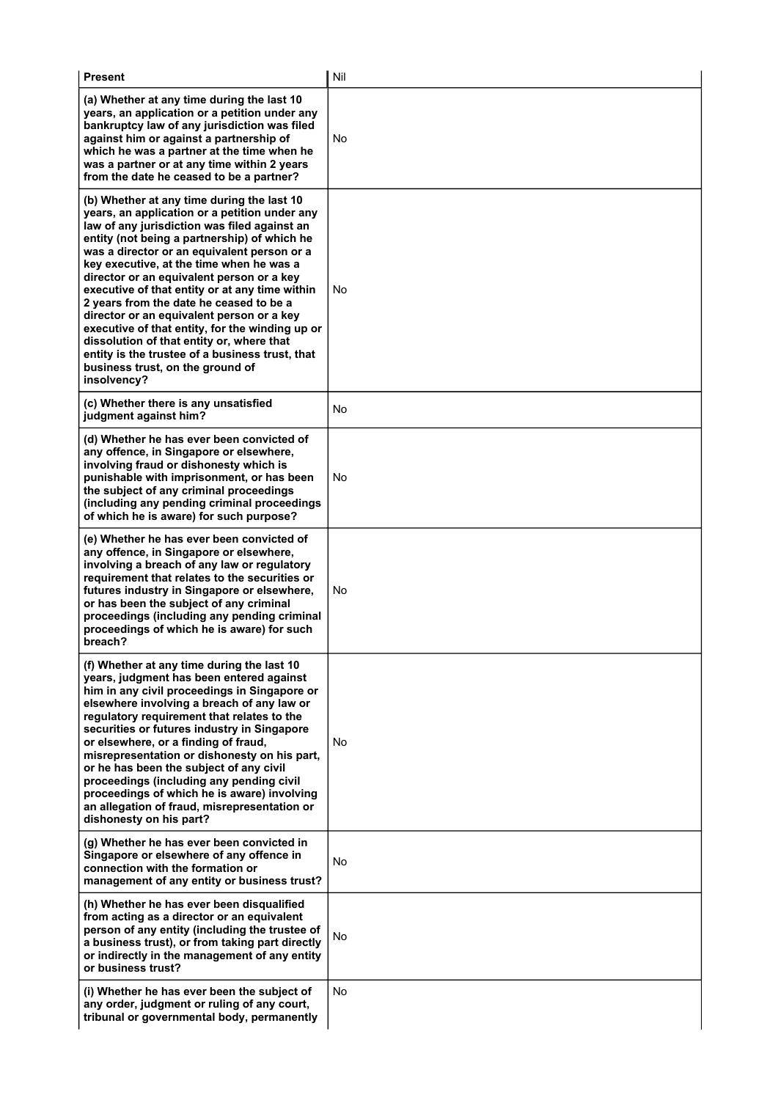| <b>Present</b>                                                                                                                                                                                                                                                                                                                                                                                                                                                                                                                                                                                                                                                                      | Nil |  |
|-------------------------------------------------------------------------------------------------------------------------------------------------------------------------------------------------------------------------------------------------------------------------------------------------------------------------------------------------------------------------------------------------------------------------------------------------------------------------------------------------------------------------------------------------------------------------------------------------------------------------------------------------------------------------------------|-----|--|
| (a) Whether at any time during the last 10<br>years, an application or a petition under any<br>bankruptcy law of any jurisdiction was filed<br>against him or against a partnership of<br>which he was a partner at the time when he<br>was a partner or at any time within 2 years<br>from the date he ceased to be a partner?                                                                                                                                                                                                                                                                                                                                                     | No  |  |
| (b) Whether at any time during the last 10<br>years, an application or a petition under any<br>law of any jurisdiction was filed against an<br>entity (not being a partnership) of which he<br>was a director or an equivalent person or a<br>key executive, at the time when he was a<br>director or an equivalent person or a key<br>executive of that entity or at any time within<br>2 years from the date he ceased to be a<br>director or an equivalent person or a key<br>executive of that entity, for the winding up or<br>dissolution of that entity or, where that<br>entity is the trustee of a business trust, that<br>business trust, on the ground of<br>insolvency? | No  |  |
| (c) Whether there is any unsatisfied<br>judgment against him?                                                                                                                                                                                                                                                                                                                                                                                                                                                                                                                                                                                                                       | No  |  |
| (d) Whether he has ever been convicted of<br>any offence, in Singapore or elsewhere,<br>involving fraud or dishonesty which is<br>punishable with imprisonment, or has been<br>the subject of any criminal proceedings<br>(including any pending criminal proceedings<br>of which he is aware) for such purpose?                                                                                                                                                                                                                                                                                                                                                                    | No  |  |
| (e) Whether he has ever been convicted of<br>any offence, in Singapore or elsewhere,<br>involving a breach of any law or regulatory<br>requirement that relates to the securities or<br>futures industry in Singapore or elsewhere,<br>or has been the subject of any criminal<br>proceedings (including any pending criminal<br>proceedings of which he is aware) for such<br>breach?                                                                                                                                                                                                                                                                                              | No  |  |
| (f) Whether at any time during the last 10<br>years, judgment has been entered against<br>him in any civil proceedings in Singapore or<br>elsewhere involving a breach of any law or<br>regulatory requirement that relates to the<br>securities or futures industry in Singapore<br>or elsewhere, or a finding of fraud,<br>misrepresentation or dishonesty on his part,<br>or he has been the subject of any civil<br>proceedings (including any pending civil<br>proceedings of which he is aware) involving<br>an allegation of fraud, misrepresentation or<br>dishonesty on his part?                                                                                          | No  |  |
| (g) Whether he has ever been convicted in<br>Singapore or elsewhere of any offence in<br>connection with the formation or<br>management of any entity or business trust?                                                                                                                                                                                                                                                                                                                                                                                                                                                                                                            | No  |  |
| (h) Whether he has ever been disqualified<br>from acting as a director or an equivalent<br>person of any entity (including the trustee of<br>a business trust), or from taking part directly<br>or indirectly in the management of any entity<br>or business trust?                                                                                                                                                                                                                                                                                                                                                                                                                 | No  |  |
| (i) Whether he has ever been the subject of<br>any order, judgment or ruling of any court,<br>tribunal or governmental body, permanently                                                                                                                                                                                                                                                                                                                                                                                                                                                                                                                                            | No  |  |